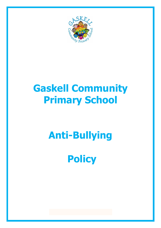

# **Gaskell Community Primary School**

# **Anti-Bullying**

**Policy**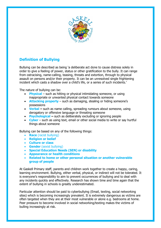

## **Definition of Bullying**

Bullying can be described as being 'a deliberate act done to cause distress solely in order to give a feeling of power, status or other gratification to the bully. It can range from ostracising, name-calling, teasing, threats and extortion, through to physical assault on persons and/or their property. It can be an unresolved single frightening incident which casts a shadow over a child's life, or a series of such incidents.'

The nature of bullying can be:

- **Physical** such as hitting or physical intimidating someone, or using inappropriate or unwanted physical contact towards someone
- **Attacking property** such as damaging, stealing or hiding someone's possessions
- **Verbal –** such as name calling, spreading rumours about someone, using derogatory or offensive language or threating someone
- **Psychological –** such as deliberately excluding or ignoring people
- **Cyber** such as using text, email or other social media to write or say hurtful things about someone

Bullying can be based on any of the following things:

- **Race** (racist bullying)
- **Religion or belief**
- **Culture or class**
- **Gender** (sexist bullying)
- **Special Education Needs (SEN) or disability**
- **Appearance or health conditions**
- **Related to home or other personal situation or another vulnerable group of people**

At Gaskell Primary staff, parents and children work together to create a happy, caring, learning environment. Bullying, either verbal, physical, or indirect will not be tolerated. It is everyone's responsibility to aim to prevent occurrences of bullying and to deal with any incidents quickly and effectively. Research has shown time and time again that the extent of bullying in schools is greatly underestimated.

Particular attention should be paid to cyberbullying (Email, texting, social networking sites) which is becoming increasingly prevalent. It is extremely dangerous as victims are often targeted when they are at their most vulnerable or alone e.g. bedrooms at home. Peer pressure to become involved in social networking/texting makes the victims of bulling increasingly at risk.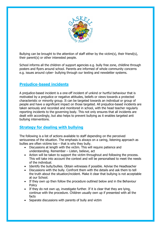

Bullying can be brought to the attention of staff either by the victim(s), their friend(s), their parent(s) or other interested people.

School informs all the children of support agencies e.g. bully free zone, childline through posters and flyers around school. Parents are informed of whole community concerns e.g. issues around cyber- bullying through our texting and newsletter systems.

### **Prejudice-based incidents**

A prejudice-based incident is a one-off incident of unkind or hurtful behaviour that is motivated by a prejudice or negative attitudes, beliefs or views towards a protected characteristic or minority group. It can be targeted towards an individual or group of people and have a significant impact on those targeted. All prejudice-based incidents are taken seriously and recorded and monitored in school, with the head teacher regularly reporting incidents to the governing body. This not only ensures that all incidents are dealt with accordingly, but also helps to prevent bullying as it enables targeted anti bullying interventions.

#### **Strategy for dealing with bullying**

The following is a list of actions available to staff depending on the perceived seriousness of the situation. The emphasis is always on a caring, listening approach as bullies are often victims too – that is why they bully.

- Discussions at length with the victim. This will require patience and understanding. Remember – Listen, believe, act
- Action will be taken to support the victim throughout and following the process. This will take into account the context and will be personalised to meet the needs of the individual.
- Identify the bully/bullies. Obtain witnesses if possible. Advise the Headteacher
- Discussions with the bully. Confront them with the details and ask them to tell the truth about the situation/incident. Make it clear that bullying is not acceptable at our School.
- If they own up then follow the procedure outlined below and in the Behaviour **Policy**
- If they do not own up, investigate further. If it is clear that they are lying, continue with the procedure. Children usually own up if presented with all the facts
- Separate discussions with parents of bully and victim